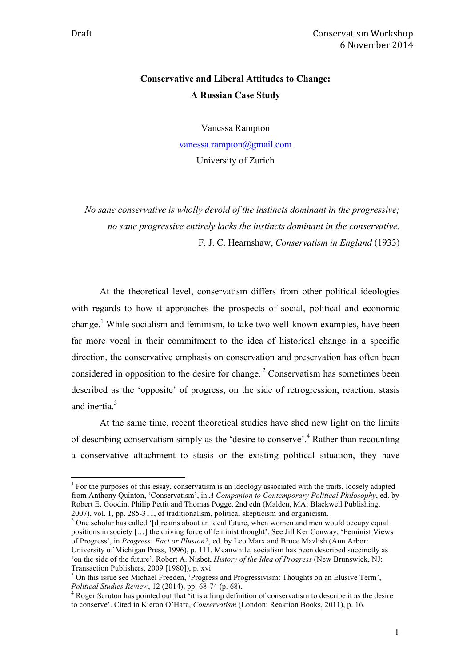# **Conservative and Liberal Attitudes to Change: A Russian Case Study**

Vanessa Rampton

vanessa.rampton@gmail.com

University of Zurich

*No sane conservative is wholly devoid of the instincts dominant in the progressive; no sane progressive entirely lacks the instincts dominant in the conservative.*  F. J. C. Hearnshaw, *Conservatism in England* (1933)

At the theoretical level, conservatism differs from other political ideologies with regards to how it approaches the prospects of social, political and economic change.1 While socialism and feminism, to take two well-known examples, have been far more vocal in their commitment to the idea of historical change in a specific direction, the conservative emphasis on conservation and preservation has often been considered in opposition to the desire for change. <sup>2</sup> Conservatism has sometimes been described as the 'opposite' of progress, on the side of retrogression, reaction, stasis and inertia<sup>3</sup>

At the same time, recent theoretical studies have shed new light on the limits of describing conservatism simply as the 'desire to conserve'.4 Rather than recounting a conservative attachment to stasis or the existing political situation, they have

2007), vol. 1, pp. 285-311, of traditionalism, political skepticism and organicism. <sup>2</sup> One scholar has called '[d]reams about an ideal future, when women and men would occupy equal positions in society […] the driving force of feminist thought'. See Jill Ker Conway, 'Feminist Views of Progress', in *Progress: Fact or Illusion?*, ed. by Leo Marx and Bruce Mazlish (Ann Arbor: University of Michigan Press, 1996), p. 111. Meanwhile, socialism has been described succinctly as 'on the side of the future'. Robert A. Nisbet, *History of the Idea of Progress* (New Brunswick, NJ: Transaction Publishers, 2009 [1980]), p. xvi.

<sup>&</sup>lt;sup>1</sup> For the purposes of this essay, conservatism is an ideology associated with the traits, loosely adapted from Anthony Quinton, 'Conservatism', in *A Companion to Contemporary Political Philosophy*, ed. by Robert E. Goodin, Philip Pettit and Thomas Pogge, 2nd edn (Malden, MA: Blackwell Publishing,

<sup>&</sup>lt;sup>3</sup> On this issue see Michael Freeden, 'Progress and Progressivism: Thoughts on an Elusive Term', *Political Studies Review*, 12 (2014), pp. 68-74 (p. 68). <sup>4</sup> Roger Scruton has pointed out that 'it is a limp definition of conservatism to describe it as the desire

to conserve'. Cited in Kieron O'Hara, *Conservatism* (London: Reaktion Books, 2011), p. 16.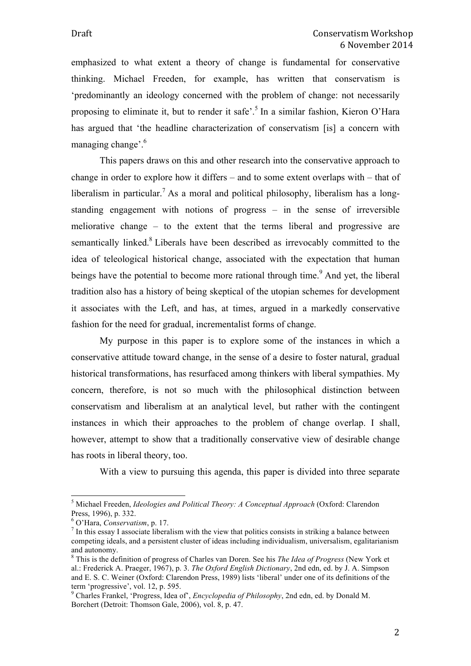emphasized to what extent a theory of change is fundamental for conservative thinking. Michael Freeden, for example, has written that conservatism is 'predominantly an ideology concerned with the problem of change: not necessarily proposing to eliminate it, but to render it safe'.<sup>5</sup> In a similar fashion, Kieron O'Hara has argued that 'the headline characterization of conservatism [is] a concern with managing change'.<sup>6</sup>

This papers draws on this and other research into the conservative approach to change in order to explore how it differs – and to some extent overlaps with – that of liberalism in particular.<sup>7</sup> As a moral and political philosophy, liberalism has a longstanding engagement with notions of progress – in the sense of irreversible meliorative change – to the extent that the terms liberal and progressive are semantically linked.<sup>8</sup> Liberals have been described as irrevocably committed to the idea of teleological historical change, associated with the expectation that human beings have the potential to become more rational through time.<sup>9</sup> And yet, the liberal tradition also has a history of being skeptical of the utopian schemes for development it associates with the Left, and has, at times, argued in a markedly conservative fashion for the need for gradual, incrementalist forms of change.

My purpose in this paper is to explore some of the instances in which a conservative attitude toward change, in the sense of a desire to foster natural, gradual historical transformations, has resurfaced among thinkers with liberal sympathies. My concern, therefore, is not so much with the philosophical distinction between conservatism and liberalism at an analytical level, but rather with the contingent instances in which their approaches to the problem of change overlap. I shall, however, attempt to show that a traditionally conservative view of desirable change has roots in liberal theory, too.

With a view to pursuing this agenda, this paper is divided into three separate

 <sup>5</sup> Michael Freeden, *Ideologies and Political Theory: A Conceptual Approach* (Oxford: Clarendon Press, 1996), p. 332.

 $\frac{6}{7}$  O'Hara, *Conservatism*, p. 17. The filth of the view that politics consists in striking a balance between  $\frac{7}{7}$  In this essay I associate liberalism with the view that politics consists in striking a balance competing ideals, and a persistent cluster of ideas including individualism, universalism, egalitarianism and autonomy.

<sup>8</sup> This is the definition of progress of Charles van Doren. See his *The Idea of Progress* (New York et al.: Frederick A. Praeger, 1967), p. 3. *The Oxford English Dictionary*, 2nd edn, ed. by J. A. Simpson and E. S. C. Weiner (Oxford: Clarendon Press, 1989) lists 'liberal' under one of its definitions of the term 'progressive', vol. 12, p. 595.<br><sup>9</sup> Charles Frankel, 'Progress, Idea of', *Encyclopedia of Philosophy*, 2nd edn, ed. by Donald M.

Borchert (Detroit: Thomson Gale, 2006), vol. 8, p. 47.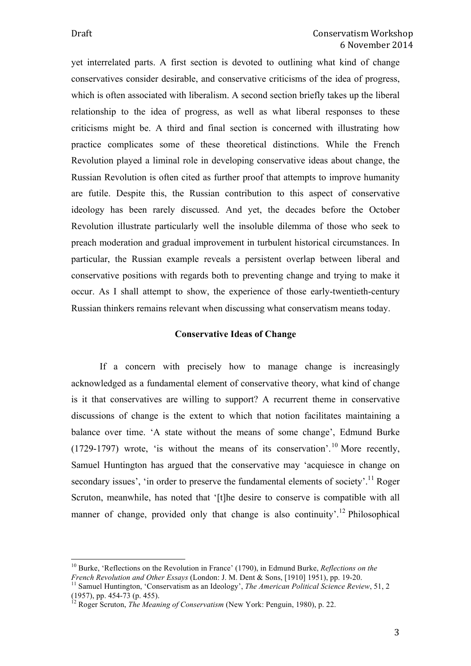yet interrelated parts. A first section is devoted to outlining what kind of change conservatives consider desirable, and conservative criticisms of the idea of progress, which is often associated with liberalism. A second section briefly takes up the liberal relationship to the idea of progress, as well as what liberal responses to these criticisms might be. A third and final section is concerned with illustrating how practice complicates some of these theoretical distinctions. While the French Revolution played a liminal role in developing conservative ideas about change, the Russian Revolution is often cited as further proof that attempts to improve humanity are futile. Despite this, the Russian contribution to this aspect of conservative ideology has been rarely discussed. And yet, the decades before the October Revolution illustrate particularly well the insoluble dilemma of those who seek to preach moderation and gradual improvement in turbulent historical circumstances. In particular, the Russian example reveals a persistent overlap between liberal and conservative positions with regards both to preventing change and trying to make it occur. As I shall attempt to show, the experience of those early-twentieth-century Russian thinkers remains relevant when discussing what conservatism means today.

#### **Conservative Ideas of Change**

If a concern with precisely how to manage change is increasingly acknowledged as a fundamental element of conservative theory, what kind of change is it that conservatives are willing to support? A recurrent theme in conservative discussions of change is the extent to which that notion facilitates maintaining a balance over time. 'A state without the means of some change', Edmund Burke  $(1729-1797)$  wrote, 'is without the means of its conservation'.<sup>10</sup> More recently, Samuel Huntington has argued that the conservative may 'acquiesce in change on secondary issues', 'in order to preserve the fundamental elements of society'.<sup>11</sup> Roger Scruton, meanwhile, has noted that '[t]he desire to conserve is compatible with all manner of change, provided only that change is also continuity'.<sup>12</sup> Philosophical

<sup>&</sup>lt;sup>10</sup> Burke, 'Reflections on the Revolution in France' (1790), in Edmund Burke, *Reflections on the French Revolution and Other Essays* (London: J. M. Dent & Sons. [1910] 1951), pp. 19-20.

*French Revolution and Other Essaysian and Meology', The American Political Science Review, 51, 2* (1957), pp. 454-73 (p. 455). 12 Roger Scruton, *The Meaning of Conservatism* (New York: Penguin, 1980), p. 22.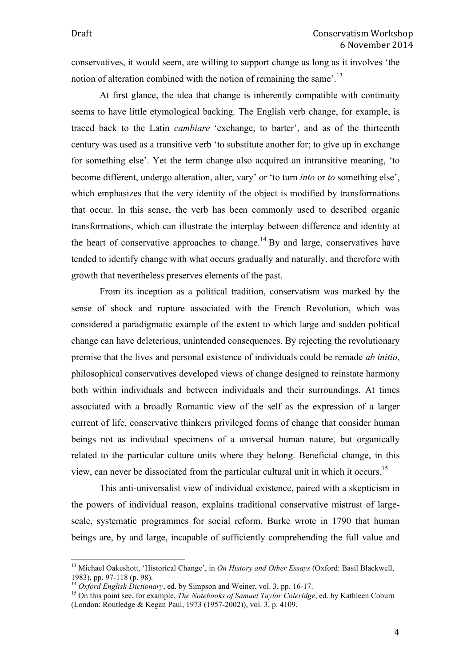conservatives, it would seem, are willing to support change as long as it involves 'the notion of alteration combined with the notion of remaining the same'.<sup>13</sup>

At first glance, the idea that change is inherently compatible with continuity seems to have little etymological backing. The English verb change, for example, is traced back to the Latin *cambiare* 'exchange, to barter', and as of the thirteenth century was used as a transitive verb 'to substitute another for; to give up in exchange for something else'. Yet the term change also acquired an intransitive meaning, 'to become different, undergo alteration, alter, vary' or 'to turn *into* or *to* something else', which emphasizes that the very identity of the object is modified by transformations that occur. In this sense, the verb has been commonly used to described organic transformations, which can illustrate the interplay between difference and identity at the heart of conservative approaches to change.<sup>14</sup> By and large, conservatives have tended to identify change with what occurs gradually and naturally, and therefore with growth that nevertheless preserves elements of the past.

From its inception as a political tradition, conservatism was marked by the sense of shock and rupture associated with the French Revolution, which was considered a paradigmatic example of the extent to which large and sudden political change can have deleterious, unintended consequences. By rejecting the revolutionary premise that the lives and personal existence of individuals could be remade *ab initio*, philosophical conservatives developed views of change designed to reinstate harmony both within individuals and between individuals and their surroundings. At times associated with a broadly Romantic view of the self as the expression of a larger current of life, conservative thinkers privileged forms of change that consider human beings not as individual specimens of a universal human nature, but organically related to the particular culture units where they belong. Beneficial change, in this view, can never be dissociated from the particular cultural unit in which it occurs. 15

This anti-universalist view of individual existence, paired with a skepticism in the powers of individual reason, explains traditional conservative mistrust of largescale, systematic programmes for social reform. Burke wrote in 1790 that human beings are, by and large, incapable of sufficiently comprehending the full value and

<sup>&</sup>lt;sup>13</sup> Michael Oakeshott, 'Historical Change', in *On History and Other Essays* (Oxford: Basil Blackwell, 1983). pp. 97-118 (p. 98).

<sup>&</sup>lt;sup>14</sup> *Oxford English Dictionary*, ed. by Simpson and Weiner, vol. 3, pp. 16-17.<br><sup>15</sup> On this point see, for example, *The Notebooks of Samuel Taylor Coleridge*, ed. by Kathleen Coburn (London: Routledge & Kegan Paul, 1973 (1957-2002)), vol. 3, p. 4109.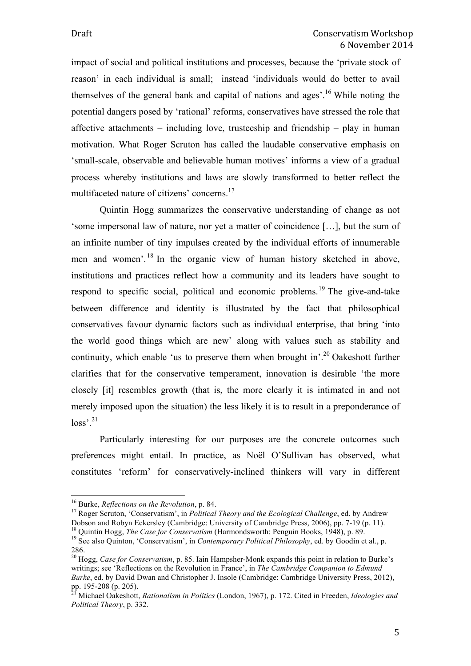impact of social and political institutions and processes, because the 'private stock of reason' in each individual is small; instead 'individuals would do better to avail themselves of the general bank and capital of nations and ages'.<sup>16</sup> While noting the potential dangers posed by 'rational' reforms, conservatives have stressed the role that affective attachments – including love, trusteeship and friendship – play in human motivation. What Roger Scruton has called the laudable conservative emphasis on 'small-scale, observable and believable human motives' informs a view of a gradual process whereby institutions and laws are slowly transformed to better reflect the multifaceted nature of citizens' concerns.17

Quintin Hogg summarizes the conservative understanding of change as not 'some impersonal law of nature, nor yet a matter of coincidence […], but the sum of an infinite number of tiny impulses created by the individual efforts of innumerable men and women'. <sup>18</sup> In the organic view of human history sketched in above, institutions and practices reflect how a community and its leaders have sought to respond to specific social, political and economic problems.<sup>19</sup> The give-and-take between difference and identity is illustrated by the fact that philosophical conservatives favour dynamic factors such as individual enterprise, that bring 'into the world good things which are new' along with values such as stability and continuity, which enable 'us to preserve them when brought in'.<sup>20</sup> Oakeshott further clarifies that for the conservative temperament, innovation is desirable 'the more closely [it] resembles growth (that is, the more clearly it is intimated in and not merely imposed upon the situation) the less likely it is to result in a preponderance of  $loss'$ <sup>21</sup>

Particularly interesting for our purposes are the concrete outcomes such preferences might entail. In practice, as Noël O'Sullivan has observed, what constitutes 'reform' for conservatively-inclined thinkers will vary in different

<sup>&</sup>lt;sup>16</sup> Burke, *Reflections on the Revolution*, p. 84.<br><sup>17</sup> Roger Scruton, 'Conservatism', in *Political Theory and the Ecological Challenge*, ed. by Andrew Dobson and Robyn Eckersley (Cambridge: University of Cambridge Press, 2006), pp. 7-19 (p. 11).<br><sup>18</sup> Quintin Hogg, *The Case for Conservatism* (Harmondsworth: Penguin Books, 1948), p. 89.<br><sup>19</sup> See also Quinton, 'Conservatis

<sup>286.</sup> 

<sup>&</sup>lt;sup>20</sup> Hogg, *Case for Conservatism*, p. 85. Iain Hampsher-Monk expands this point in relation to Burke's writings; see 'Reflections on the Revolution in France', in *The Cambridge Companion to Edmund Burke*, ed. by David Dwan and Christopher J. Insole (Cambridge: Cambridge University Press, 2012), pp. 195-208 (p. 205).

<sup>&</sup>lt;sup>f</sup> Michael Oakeshott, *Rationalism in Politics* (London, 1967), p. 172. Cited in Freeden, *Ideologies and Political Theory*, p. 332.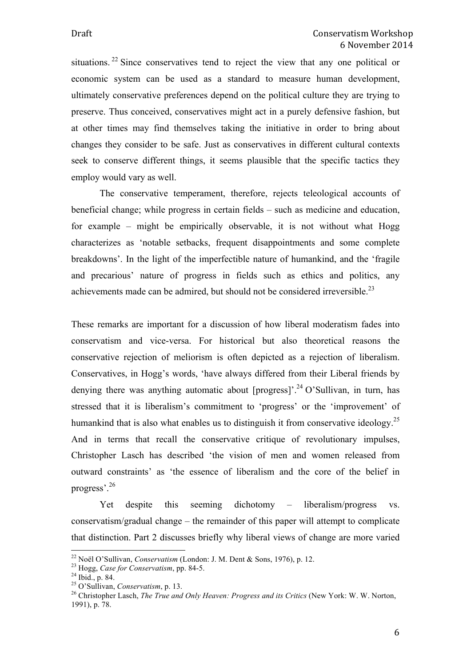situations. <sup>22</sup> Since conservatives tend to reject the view that any one political or economic system can be used as a standard to measure human development, ultimately conservative preferences depend on the political culture they are trying to preserve. Thus conceived, conservatives might act in a purely defensive fashion, but at other times may find themselves taking the initiative in order to bring about changes they consider to be safe. Just as conservatives in different cultural contexts seek to conserve different things, it seems plausible that the specific tactics they employ would vary as well.

The conservative temperament, therefore, rejects teleological accounts of beneficial change; while progress in certain fields – such as medicine and education, for example – might be empirically observable, it is not without what Hogg characterizes as 'notable setbacks, frequent disappointments and some complete breakdowns'. In the light of the imperfectible nature of humankind, and the 'fragile and precarious' nature of progress in fields such as ethics and politics, any achievements made can be admired, but should not be considered irreversible.<sup>23</sup>

These remarks are important for a discussion of how liberal moderatism fades into conservatism and vice-versa. For historical but also theoretical reasons the conservative rejection of meliorism is often depicted as a rejection of liberalism. Conservatives, in Hogg's words, 'have always differed from their Liberal friends by denying there was anything automatic about [progress]'. <sup>24</sup> O'Sullivan, in turn, has stressed that it is liberalism's commitment to 'progress' or the 'improvement' of humankind that is also what enables us to distinguish it from conservative ideology.<sup>25</sup> And in terms that recall the conservative critique of revolutionary impulses, Christopher Lasch has described 'the vision of men and women released from outward constraints' as 'the essence of liberalism and the core of the belief in progress'.<sup>26</sup>

Yet despite this seeming dichotomy – liberalism/progress vs. conservatism/gradual change – the remainder of this paper will attempt to complicate that distinction. Part 2 discusses briefly why liberal views of change are more varied

<sup>&</sup>lt;sup>22</sup> Noël O'Sullivan, *Conservatism* (London: J. M. Dent & Sons, 1976), p. 12.<br><sup>23</sup> Hogg, *Case for Conservatism*, pp. 84-5.<br><sup>24</sup> Ibid., p. 84.<br><sup>25</sup> O'Sullivan, *Conservatism*, p. 13.<br><sup>26</sup> Christopher Lasch, *The True and* 1991), p. 78.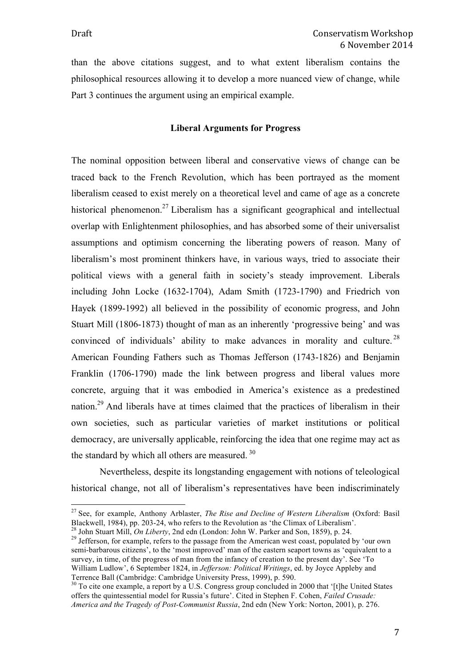than the above citations suggest, and to what extent liberalism contains the philosophical resources allowing it to develop a more nuanced view of change, while Part 3 continues the argument using an empirical example.

## **Liberal Arguments for Progress**

The nominal opposition between liberal and conservative views of change can be traced back to the French Revolution, which has been portrayed as the moment liberalism ceased to exist merely on a theoretical level and came of age as a concrete historical phenomenon.<sup>27</sup> Liberalism has a significant geographical and intellectual overlap with Enlightenment philosophies, and has absorbed some of their universalist assumptions and optimism concerning the liberating powers of reason. Many of liberalism's most prominent thinkers have, in various ways, tried to associate their political views with a general faith in society's steady improvement. Liberals including John Locke (1632-1704), Adam Smith (1723-1790) and Friedrich von Hayek (1899-1992) all believed in the possibility of economic progress, and John Stuart Mill (1806-1873) thought of man as an inherently 'progressive being' and was convinced of individuals' ability to make advances in morality and culture.<sup>28</sup> American Founding Fathers such as Thomas Jefferson (1743-1826) and Benjamin Franklin (1706-1790) made the link between progress and liberal values more concrete, arguing that it was embodied in America's existence as a predestined nation.29 And liberals have at times claimed that the practices of liberalism in their own societies, such as particular varieties of market institutions or political democracy, are universally applicable, reinforcing the idea that one regime may act as the standard by which all others are measured.<sup>30</sup>

Nevertheless, despite its longstanding engagement with notions of teleological historical change, not all of liberalism's representatives have been indiscriminately

<sup>&</sup>lt;sup>27</sup> See, for example, Anthony Arblaster, *The Rise and Decline of Western Liberalism* (Oxford: Basil Blackwell, 1984), pp. 203-24, who refers to the Revolution as 'the Climax of Liberalism'.

<sup>&</sup>lt;sup>28</sup> John Stuart Mill, *On Liberty*, 2nd edn (London: John W. Parker and Son, 1859), p. 24.<br><sup>29</sup> Jefferson, for example, refers to the passage from the American west coast, populated by 'our own semi-barbarous citizens', to the 'most improved' man of the eastern seaport towns as 'equivalent to a survey, in time, of the progress of man from the infancy of creation to the present day'. See 'To William Ludlow', 6 September 1824, in *Jefferson: Political Writings*, ed. by Joyce Appleby and Terrence Ball (Cambridge: Cambridge University Press, 1999), p. 590.

 $\frac{30}{30}$  To cite one example, a report by a U.S. Congress group concluded in 2000 that '[t]he United States offers the quintessential model for Russia's future'. Cited in Stephen F. Cohen, *Failed Crusade: America and the Tragedy of Post-Communist Russia*, 2nd edn (New York: Norton, 2001), p. 276.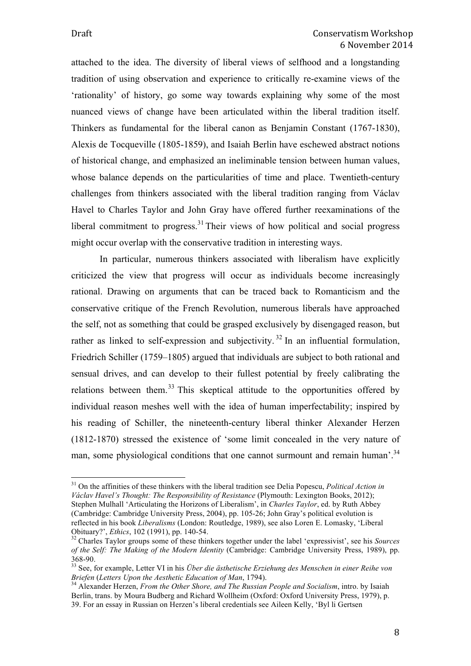attached to the idea. The diversity of liberal views of selfhood and a longstanding tradition of using observation and experience to critically re-examine views of the 'rationality' of history, go some way towards explaining why some of the most nuanced views of change have been articulated within the liberal tradition itself. Thinkers as fundamental for the liberal canon as Benjamin Constant (1767-1830), Alexis de Tocqueville (1805-1859), and Isaiah Berlin have eschewed abstract notions of historical change, and emphasized an ineliminable tension between human values, whose balance depends on the particularities of time and place. Twentieth-century challenges from thinkers associated with the liberal tradition ranging from Václav Havel to Charles Taylor and John Gray have offered further reexaminations of the liberal commitment to progress.<sup>31</sup> Their views of how political and social progress might occur overlap with the conservative tradition in interesting ways.

In particular, numerous thinkers associated with liberalism have explicitly criticized the view that progress will occur as individuals become increasingly rational. Drawing on arguments that can be traced back to Romanticism and the conservative critique of the French Revolution, numerous liberals have approached the self, not as something that could be grasped exclusively by disengaged reason, but rather as linked to self-expression and subjectivity.<sup>32</sup> In an influential formulation, Friedrich Schiller (1759–1805) argued that individuals are subject to both rational and sensual drives, and can develop to their fullest potential by freely calibrating the relations between them.<sup>33</sup> This skeptical attitude to the opportunities offered by individual reason meshes well with the idea of human imperfectability; inspired by his reading of Schiller, the nineteenth-century liberal thinker Alexander Herzen (1812-1870) stressed the existence of 'some limit concealed in the very nature of man, some physiological conditions that one cannot surmount and remain human'.<sup>34</sup>

 <sup>31</sup> On the affinities of these thinkers with the liberal tradition see Delia Popescu, *Political Action in Václav Havel's Thought: The Responsibility of Resistance* (Plymouth: Lexington Books, 2012); Stephen Mulhall 'Articulating the Horizons of Liberalism', in *Charles Taylor*, ed. by Ruth Abbey (Cambridge: Cambridge University Press, 2004), pp. 105-26; John Gray's political evolution is reflected in his book *Liberalisms* (London: Routledge, 1989), see also Loren E. Lomasky, 'Liberal

<sup>&</sup>lt;sup>32</sup> Charles Taylor groups some of these thinkers together under the label 'expressivist', see his *Sources of the Self: The Making of the Modern Identity* (Cambridge: Cambridge University Press, 1989), pp.

<sup>&</sup>lt;sup>33</sup> See, for example, Letter VI in his *Über die ästhetische Erziehung des Menschen in einer Reihe von*<br>Briefen (Letters Upon the Aesthetic Education of Man. 1794).

*Briefen* (*Letters Upon the Aesthetic Education of Man*, 1794). 34 Alexander Herzen, *From the Other Shore, and The Russian People and Socialism*, intro. by Isaiah Berlin, trans. by Moura Budberg and Richard Wollheim (Oxford: Oxford University Press, 1979), p. 39. For an essay in Russian on Herzen's liberal credentials see Aileen Kelly, 'Byl li Gertsen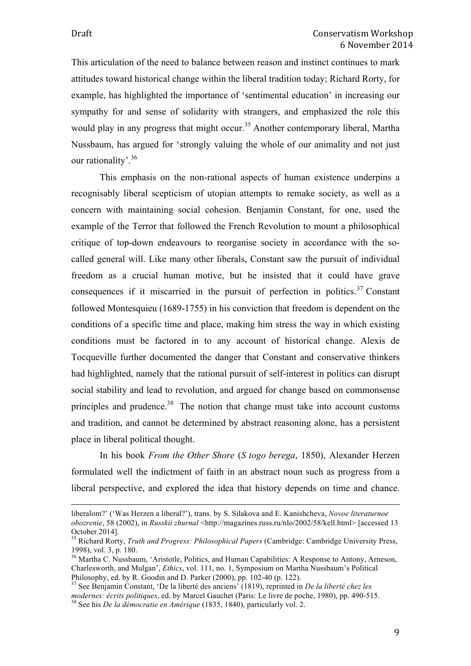This articulation of the need to balance between reason and instinct continues to mark attitudes toward historical change within the liberal tradition today; Richard Rorty, for example, has highlighted the importance of 'sentimental education' in increasing our sympathy for and sense of solidarity with strangers, and emphasized the role this would play in any progress that might occur.<sup>35</sup> Another contemporary liberal, Martha Nussbaum, has argued for 'strongly valuing the whole of our animality and not just our rationality'.<sup>36</sup>

This emphasis on the non-rational aspects of human existence underpins a recognisably liberal scepticism of utopian attempts to remake society, as well as a concern with maintaining social cohesion. Benjamin Constant, for one, used the example of the Terror that followed the French Revolution to mount a philosophical critique of top-down endeavours to reorganise society in accordance with the socalled general will. Like many other liberals, Constant saw the pursuit of individual freedom as a crucial human motive, but he insisted that it could have grave consequences if it miscarried in the pursuit of perfection in politics.<sup>37</sup> Constant followed Montesquieu (1689-1755) in his conviction that freedom is dependent on the conditions of a specific time and place, making him stress the way in which existing conditions must be factored in to any account of historical change. Alexis de Tocqueville further documented the danger that Constant and conservative thinkers had highlighted, namely that the rational pursuit of self-interest in politics can disrupt social stability and lead to revolution, and argued for change based on commonsense principles and prudence.<sup>38</sup> The notion that change must take into account customs and tradition, and cannot be determined by abstract reasoning alone, has a persistent place in liberal political thought.

In his book *From the Other Shore* (*S togo berega*, 1850), Alexander Herzen formulated well the indictment of faith in an abstract noun such as progress from a liberal perspective, and explored the idea that history depends on time and chance.

<u> 1989 - Andrea San Andrew Maria (h. 1989).</u><br>1900 - Andrew Maria (h. 1980).

liberalom?' ('Was Herzen a liberal?'), trans. by S. Silakova and E. Kanishcheva, *Novoe literaturnoe obozrenie*, 58 (2002), in *Russkii zhurnal* <http://magazines.russ.ru/nlo/2002/58/kell.html> [accessed 13 October 2014].

<sup>35</sup> Richard Rorty, *Truth and Progress: Philosophical Papers* (Cambridge: Cambridge University Press, 1998), vol. 3, p. 180.

<sup>&</sup>lt;sup>36</sup> Martha C. Nussbaum, 'Aristotle, Politics, and Human Capabilities: A Response to Antony, Arneson, Charlesworth, and Mulgan', *Ethics*, vol. 111, no. 1, Symposium on Martha Nussbaum's Political

<sup>&</sup>lt;sup>37</sup> See Benjamin Constant, 'De la liberté des anciens' (1819), reprinted in *De la liberté chez les modernes: écrits politiques*, ed. by Marcel Gauchet (Paris: Le livre de poche, 1980), pp. 490-515. <sup>38</sup> See his *De la démocratie en Amérique* (1835, 1840), particularly vol. 2.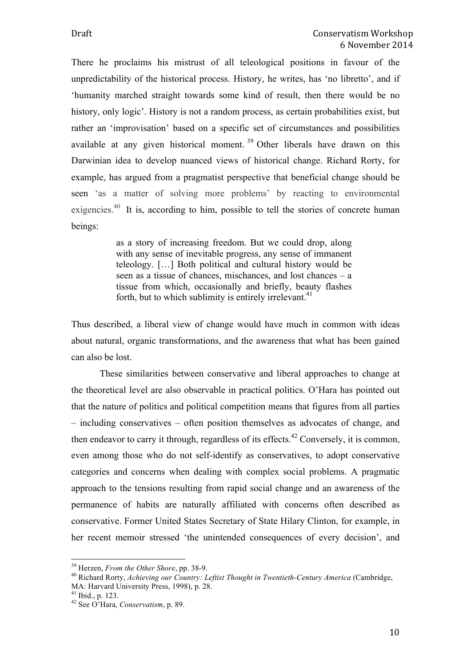There he proclaims his mistrust of all teleological positions in favour of the unpredictability of the historical process. History, he writes, has 'no libretto', and if 'humanity marched straight towards some kind of result, then there would be no history, only logic'. History is not a random process, as certain probabilities exist, but rather an 'improvisation' based on a specific set of circumstances and possibilities available at any given historical moment. <sup>39</sup> Other liberals have drawn on this Darwinian idea to develop nuanced views of historical change. Richard Rorty, for example, has argued from a pragmatist perspective that beneficial change should be seen 'as a matter of solving more problems' by reacting to environmental exigencies.<sup>40</sup> It is, according to him, possible to tell the stories of concrete human beings:

> as a story of increasing freedom. But we could drop, along with any sense of inevitable progress, any sense of immanent teleology. […] Both political and cultural history would be seen as a tissue of chances, mischances, and lost chances – a tissue from which, occasionally and briefly, beauty flashes forth, but to which sublimity is entirely irrelevant.<sup>41</sup>

Thus described, a liberal view of change would have much in common with ideas about natural, organic transformations, and the awareness that what has been gained can also be lost.

These similarities between conservative and liberal approaches to change at the theoretical level are also observable in practical politics. O'Hara has pointed out that the nature of politics and political competition means that figures from all parties – including conservatives – often position themselves as advocates of change, and then endeavor to carry it through, regardless of its effects.<sup>42</sup> Conversely, it is common, even among those who do not self-identify as conservatives, to adopt conservative categories and concerns when dealing with complex social problems. A pragmatic approach to the tensions resulting from rapid social change and an awareness of the permanence of habits are naturally affiliated with concerns often described as conservative. Former United States Secretary of State Hilary Clinton, for example, in her recent memoir stressed 'the unintended consequences of every decision', and

<sup>&</sup>lt;sup>39</sup> Herzen, *From the Other Shore*, pp. 38-9.<br><sup>40</sup> Richard Rorty, *Achieving our Country: Leftist Thought in Twentieth-Century America* (Cambridge, MA: Harvard University Press, 1998), p. 28. 41 Ibid., p. 123. 42 See O'Hara, *Conservatism*, p. 89.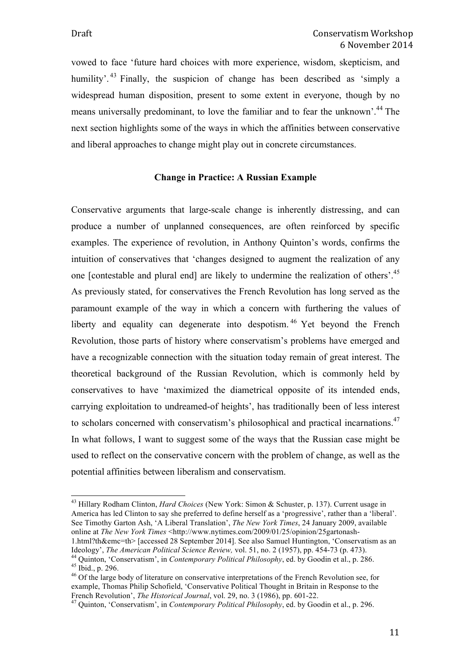vowed to face 'future hard choices with more experience, wisdom, skepticism, and humility'. <sup>43</sup> Finally, the suspicion of change has been described as 'simply a widespread human disposition, present to some extent in everyone, though by no means universally predominant, to love the familiar and to fear the unknown'.<sup>44</sup> The next section highlights some of the ways in which the affinities between conservative and liberal approaches to change might play out in concrete circumstances.

## **Change in Practice: A Russian Example**

Conservative arguments that large-scale change is inherently distressing, and can produce a number of unplanned consequences, are often reinforced by specific examples. The experience of revolution, in Anthony Quinton's words, confirms the intuition of conservatives that 'changes designed to augment the realization of any one [contestable and plural end] are likely to undermine the realization of others'.<sup>45</sup> As previously stated, for conservatives the French Revolution has long served as the paramount example of the way in which a concern with furthering the values of liberty and equality can degenerate into despotism.<sup>46</sup> Yet beyond the French Revolution, those parts of history where conservatism's problems have emerged and have a recognizable connection with the situation today remain of great interest. The theoretical background of the Russian Revolution, which is commonly held by conservatives to have 'maximized the diametrical opposite of its intended ends, carrying exploitation to undreamed-of heights', has traditionally been of less interest to scholars concerned with conservatism's philosophical and practical incarnations.<sup>47</sup> In what follows, I want to suggest some of the ways that the Russian case might be used to reflect on the conservative concern with the problem of change, as well as the potential affinities between liberalism and conservatism.

 <sup>43</sup> Hillary Rodham Clinton, *Hard Choices* (New York: Simon & Schuster, p. 137). Current usage in America has led Clinton to say she preferred to define herself as a 'progressive', rather than a 'liberal'. See Timothy Garton Ash, 'A Liberal Translation', *The New York Times*, 24 January 2009, available online at *The New York Times* <http://www.nytimes.com/2009/01/25/opinion/25gartonash-

<sup>1.</sup>html?th&emc=th> [accessed 28 September 2014]. See also Samuel Huntington, 'Conservatism as an

Ideology', *The American Political Science Review*, vol. 51, no. 2 (1957), pp. 454-73 (p. 473).<br><sup>44</sup> Quinton, 'Conservatism', in *Contemporary Political Philosophy*, ed. by Goodin et al., p. 286.<br><sup>45</sup> Ibid., p. 296.<br><sup>46</sup> O

example, Thomas Philip Schofield, 'Conservative Political Thought in Britain in Response to the French Revolution', *The Historical Journal*, vol. 29, no. 3 (1986), pp. 601-22. 47 Quinton, 'Conservatism', in *Contemporary Political Philosophy*, ed. by Goodin et al., p. 296.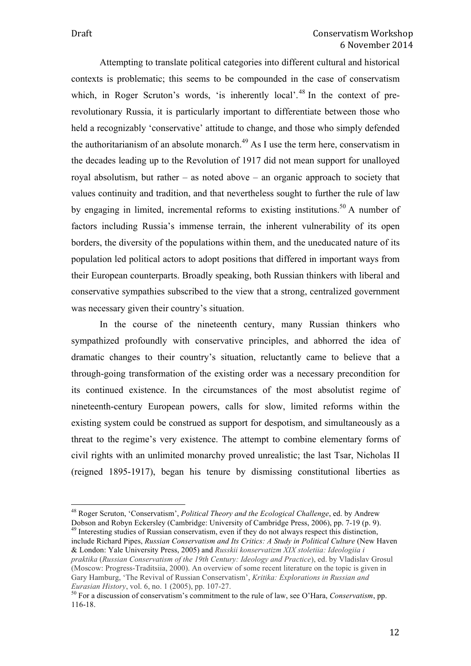Attempting to translate political categories into different cultural and historical contexts is problematic; this seems to be compounded in the case of conservatism which, in Roger Scruton's words, 'is inherently local'.<sup>48</sup> In the context of prerevolutionary Russia, it is particularly important to differentiate between those who held a recognizably 'conservative' attitude to change, and those who simply defended the authoritarianism of an absolute monarch.<sup> $49$ </sup> As I use the term here, conservatism in the decades leading up to the Revolution of 1917 did not mean support for unalloyed royal absolutism, but rather – as noted above – an organic approach to society that values continuity and tradition, and that nevertheless sought to further the rule of law by engaging in limited, incremental reforms to existing institutions.<sup>50</sup> A number of factors including Russia's immense terrain, the inherent vulnerability of its open borders, the diversity of the populations within them, and the uneducated nature of its population led political actors to adopt positions that differed in important ways from their European counterparts. Broadly speaking, both Russian thinkers with liberal and conservative sympathies subscribed to the view that a strong, centralized government was necessary given their country's situation.

In the course of the nineteenth century, many Russian thinkers who sympathized profoundly with conservative principles, and abhorred the idea of dramatic changes to their country's situation, reluctantly came to believe that a through-going transformation of the existing order was a necessary precondition for its continued existence. In the circumstances of the most absolutist regime of nineteenth-century European powers, calls for slow, limited reforms within the existing system could be construed as support for despotism, and simultaneously as a threat to the regime's very existence. The attempt to combine elementary forms of civil rights with an unlimited monarchy proved unrealistic; the last Tsar, Nicholas II (reigned 1895-1917), began his tenure by dismissing constitutional liberties as

include Richard Pipes, *Russian Conservatism and Its Critics: A Study in Political Culture* (New Haven & London: Yale University Press, 2005) and *Russkii konservatizm XIX stoletiia: Ideologiia i praktika* (*Russian Conservatism of the 19th Century: Ideology and Practice*), ed. by Vladislav Grosul (Moscow: Progress-Traditsiia, 2000). An overview of some recent literature on the topic is given in Gary Hamburg, 'The Revival of Russian Conservatism', *Kritika: Explorations in Russian and Eurasian History*, vol. 6, no. 1 (2005), pp. 107-27.<br><sup>50</sup> For a discussion of conservatism's commitment to the rule of law, see O'Hara, *Conservatism*, pp.

 <sup>48</sup> Roger Scruton, 'Conservatism', *Political Theory and the Ecological Challenge*, ed. by Andrew Dobson and Robyn Eckersley (Cambridge: University of Cambridge Press, 2006), pp. 7-19 (p. 9). <sup>49</sup> Interesting studies of Russian conservatism, even if they do not always respect this distinction,

<sup>116-18.</sup>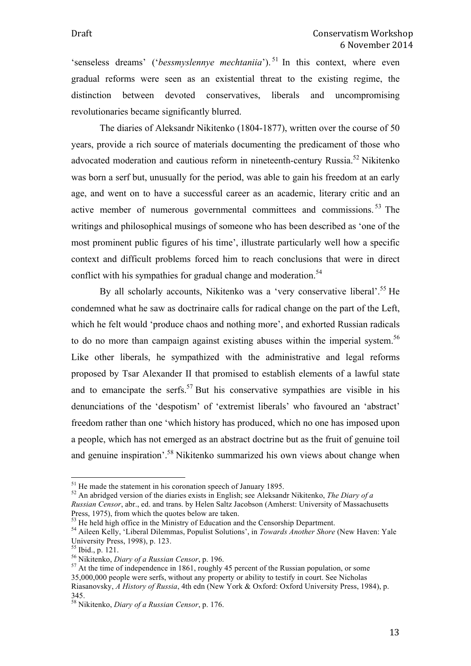'senseless dreams' ('*bessmyslennye mechtaniia*'). <sup>51</sup> In this context, where even gradual reforms were seen as an existential threat to the existing regime, the distinction between devoted conservatives, liberals and uncompromising revolutionaries became significantly blurred.

The diaries of Aleksandr Nikitenko (1804-1877), written over the course of 50 years, provide a rich source of materials documenting the predicament of those who advocated moderation and cautious reform in nineteenth-century Russia.<sup>52</sup> Nikitenko was born a serf but, unusually for the period, was able to gain his freedom at an early age, and went on to have a successful career as an academic, literary critic and an active member of numerous governmental committees and commissions. <sup>53</sup> The writings and philosophical musings of someone who has been described as 'one of the most prominent public figures of his time', illustrate particularly well how a specific context and difficult problems forced him to reach conclusions that were in direct conflict with his sympathies for gradual change and moderation.<sup>54</sup>

By all scholarly accounts, Nikitenko was a 'very conservative liberal'.<sup>55</sup> He condemned what he saw as doctrinaire calls for radical change on the part of the Left, which he felt would 'produce chaos and nothing more', and exhorted Russian radicals to do no more than campaign against existing abuses within the imperial system.<sup>56</sup> Like other liberals, he sympathized with the administrative and legal reforms proposed by Tsar Alexander II that promised to establish elements of a lawful state and to emancipate the serfs.<sup>57</sup> But his conservative sympathies are visible in his denunciations of the 'despotism' of 'extremist liberals' who favoured an 'abstract' freedom rather than one 'which history has produced, which no one has imposed upon a people, which has not emerged as an abstract doctrine but as the fruit of genuine toil and genuine inspiration'.58 Nikitenko summarized his own views about change when

<sup>&</sup>lt;sup>51</sup> He made the statement in his coronation speech of January 1895.<br><sup>52</sup> An abridged version of the diaries exists in English; see Aleksandr Nikitenko, *The Diary of a* 

*Russian Censor*, abr., ed. and trans. by Helen Saltz Jacobson (Amherst: University of Massachusetts Press, 1975), from which the quotes below are taken.

<sup>&</sup>lt;sup>53</sup> He held high office in the Ministry of Education and the Censorship Department.<br><sup>54</sup> Aileen Kelly, 'Liberal Dilemmas, Populist Solutions', in *Towards Another Shore* (New Haven: Yale University Press, 1998), p. 123.

<sup>&</sup>lt;sup>55</sup> Ibid., p. 121. <sup>56</sup> Nikitenko, *Diary of a Russian Censor*, p. 196.<br><sup>56</sup> Nikitenko, *Diary of a Russian Censor*, p. 196.<br><sup>57</sup> At the time of independence in 1861, roughly 45 percent of the Russian population, or some 35,000,000 people were serfs, without any property or ability to testify in court. See Nicholas Riasanovsky, *A History of Russia*, 4th edn (New York & Oxford: Oxford University Press, 1984), p. 345.

<sup>58</sup> Nikitenko, *Diary of a Russian Censor*, p. 176.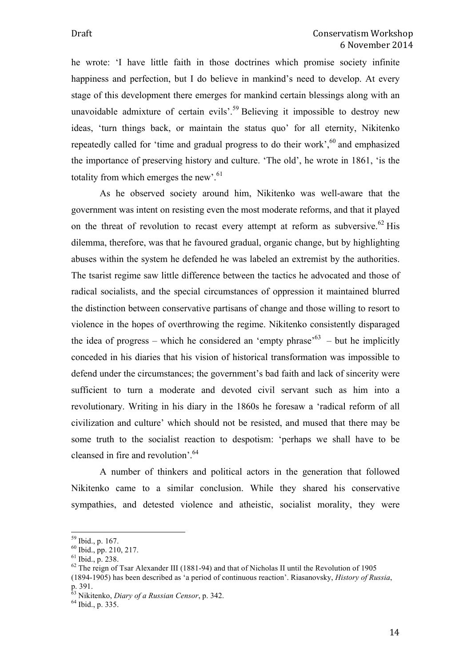he wrote: 'I have little faith in those doctrines which promise society infinite happiness and perfection, but I do believe in mankind's need to develop. At every stage of this development there emerges for mankind certain blessings along with an unavoidable admixture of certain evils'.<sup>59</sup> Believing it impossible to destroy new ideas, 'turn things back, or maintain the status quo' for all eternity, Nikitenko repeatedly called for 'time and gradual progress to do their work',  $60$  and emphasized the importance of preserving history and culture. 'The old', he wrote in 1861, 'is the totality from which emerges the new'.<sup>61</sup>

As he observed society around him, Nikitenko was well-aware that the government was intent on resisting even the most moderate reforms, and that it played on the threat of revolution to recast every attempt at reform as subversive.<sup>62</sup> His dilemma, therefore, was that he favoured gradual, organic change, but by highlighting abuses within the system he defended he was labeled an extremist by the authorities. The tsarist regime saw little difference between the tactics he advocated and those of radical socialists, and the special circumstances of oppression it maintained blurred the distinction between conservative partisans of change and those willing to resort to violence in the hopes of overthrowing the regime. Nikitenko consistently disparaged the idea of progress – which he considered an 'empty phrase'<sup>63</sup> – but he implicitly conceded in his diaries that his vision of historical transformation was impossible to defend under the circumstances; the government's bad faith and lack of sincerity were sufficient to turn a moderate and devoted civil servant such as him into a revolutionary. Writing in his diary in the 1860s he foresaw a 'radical reform of all civilization and culture' which should not be resisted, and mused that there may be some truth to the socialist reaction to despotism: 'perhaps we shall have to be cleansed in fire and revolution'.64

A number of thinkers and political actors in the generation that followed Nikitenko came to a similar conclusion. While they shared his conservative sympathies, and detested violence and atheistic, socialist morality, they were

<sup>&</sup>lt;sup>59</sup> Ibid., p. 167.<br><sup>60</sup> Ibid., pp. 210, 217.<br><sup>61</sup> Ibid., p. 238.<br><sup>62</sup> The reign of Tsar Alexander III (1881-94) and that of Nicholas II until the Revolution of 1905 (1894-1905) has been described as 'a period of continuous reaction'. Riasanovsky, *History of Russia*, p. 391.

<sup>&</sup>lt;sup>63</sup> Nikitenko, *Diary of a Russian Censor*, p. 342.<br><sup>64</sup> Ibid., p. 335.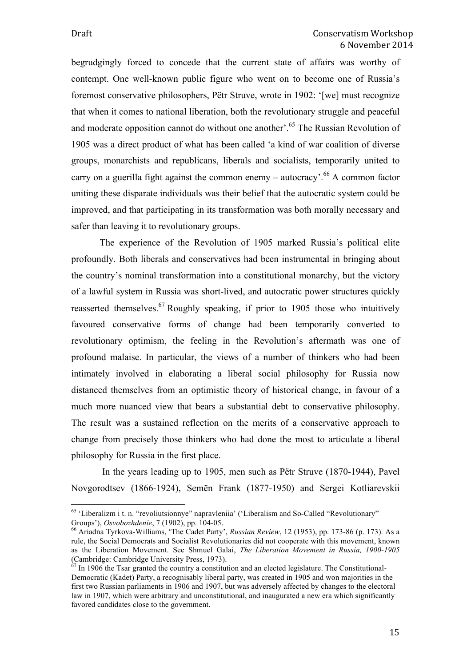begrudgingly forced to concede that the current state of affairs was worthy of contempt. One well-known public figure who went on to become one of Russia's foremost conservative philosophers, Pëtr Struve, wrote in 1902: '[we] must recognize that when it comes to national liberation, both the revolutionary struggle and peaceful and moderate opposition cannot do without one another'.<sup>65</sup> The Russian Revolution of 1905 was a direct product of what has been called 'a kind of war coalition of diverse groups, monarchists and republicans, liberals and socialists, temporarily united to carry on a guerilla fight against the common enemy – autocracy'.<sup>66</sup> A common factor uniting these disparate individuals was their belief that the autocratic system could be improved, and that participating in its transformation was both morally necessary and safer than leaving it to revolutionary groups.

The experience of the Revolution of 1905 marked Russia's political elite profoundly. Both liberals and conservatives had been instrumental in bringing about the country's nominal transformation into a constitutional monarchy, but the victory of a lawful system in Russia was short-lived, and autocratic power structures quickly reasserted themselves.<sup>67</sup> Roughly speaking, if prior to 1905 those who intuitively favoured conservative forms of change had been temporarily converted to revolutionary optimism, the feeling in the Revolution's aftermath was one of profound malaise. In particular, the views of a number of thinkers who had been intimately involved in elaborating a liberal social philosophy for Russia now distanced themselves from an optimistic theory of historical change, in favour of a much more nuanced view that bears a substantial debt to conservative philosophy. The result was a sustained reflection on the merits of a conservative approach to change from precisely those thinkers who had done the most to articulate a liberal philosophy for Russia in the first place.

In the years leading up to 1905, men such as Pëtr Struve (1870-1944), Pavel Novgorodtsev (1866-1924), Semën Frank (1877-1950) and Sergei Kotliarevskii

 $65$  'Liberalizm i t. n. "revoliutsionnye" napravleniia' ('Liberalism and So-Called "Revolutionary" Groups'), *Osvobozhdenie*, 7 (1902), pp. 104-05.<br><sup>66</sup> Ariadna Tyrkova-Williams, 'The Cadet Party', *Russian Review*, 12 (1953), pp. 173-86 (p. 173). As a

rule, the Social Democrats and Socialist Revolutionaries did not cooperate with this movement, known as the Liberation Movement. See Shmuel Galai, *The Liberation Movement in Russia, 1900-1905* (Cambridge: Cambridge University Press, 1973).

<sup>67</sup> In 1906 the Tsar granted the country a constitution and an elected legislature. The Constitutional-Democratic (Kadet) Party, a recognisably liberal party, was created in 1905 and won majorities in the first two Russian parliaments in 1906 and 1907, but was adversely affected by changes to the electoral law in 1907, which were arbitrary and unconstitutional, and inaugurated a new era which significantly favored candidates close to the government.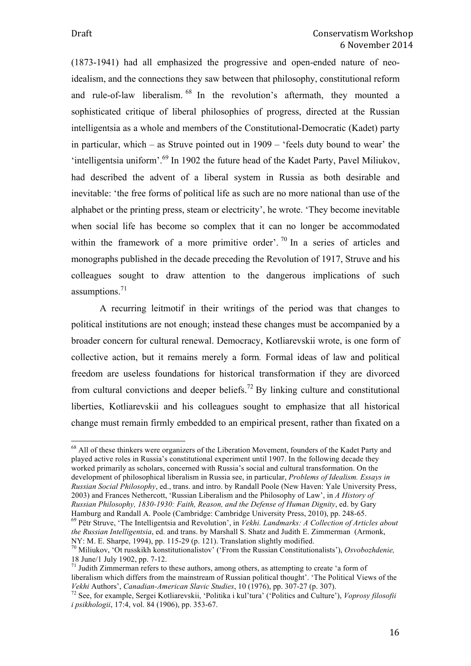(1873-1941) had all emphasized the progressive and open-ended nature of neoidealism, and the connections they saw between that philosophy, constitutional reform and rule-of-law liberalism. <sup>68</sup> In the revolution's aftermath, they mounted a sophisticated critique of liberal philosophies of progress, directed at the Russian intelligentsia as a whole and members of the Constitutional-Democratic (Kadet) party in particular, which – as Struve pointed out in 1909 – 'feels duty bound to wear' the 'intelligentsia uniform'.<sup>69</sup> In 1902 the future head of the Kadet Party, Pavel Miliukov, had described the advent of a liberal system in Russia as both desirable and inevitable: 'the free forms of political life as such are no more national than use of the alphabet or the printing press, steam or electricity', he wrote. 'They become inevitable when social life has become so complex that it can no longer be accommodated within the framework of a more primitive order'.<sup>70</sup> In a series of articles and monographs published in the decade preceding the Revolution of 1917, Struve and his colleagues sought to draw attention to the dangerous implications of such assumptions. 71

A recurring leitmotif in their writings of the period was that changes to political institutions are not enough; instead these changes must be accompanied by a broader concern for cultural renewal. Democracy, Kotliarevskii wrote, is one form of collective action, but it remains merely a form*.* Formal ideas of law and political freedom are useless foundations for historical transformation if they are divorced from cultural convictions and deeper beliefs.<sup>72</sup> By linking culture and constitutional liberties, Kotliarevskii and his colleagues sought to emphasize that all historical change must remain firmly embedded to an empirical present, rather than fixated on a

<sup>&</sup>lt;sup>68</sup> All of these thinkers were organizers of the Liberation Movement, founders of the Kadet Party and played active roles in Russia's constitutional experiment until 1907. In the following decade they worked primarily as scholars, concerned with Russia's social and cultural transformation. On the development of philosophical liberalism in Russia see, in particular, *Problems of Idealism. Essays in Russian Social Philosophy*, ed., trans. and intro. by Randall Poole (New Haven: Yale University Press, 2003) and Frances Nethercott, 'Russian Liberalism and the Philosophy of Law', in *A History of Russian Philosophy, 1830-1930: Faith, Reason, and the Defense of Human Dignity*, ed. by Gary Hamburg and Randall A. Poole (Cambridge: Cambridge University Press, 2010), pp. 248-65. <sup>69</sup> Pëtr Struve, 'The Intelligentsia and Revolution', in *Vekhi. Landmarks: A Collection of Articles about* 

*the Russian Intelligentsia*, ed. and trans. by Marshall S. Shatz and Judith E. Zimmerman (Armonk, NY: M. E. Sharpe, 1994), pp. 115-29 (p. 121). Translation slightly modified.

<sup>&</sup>lt;sup>70</sup> Miliukov, 'Ot russkikh konstitutionalistov' ('From the Russian Constitutionalists'), *Osvobozhdenie*, 18 June/1 July 1902, pp. 7-12.

 $11$  Judith Zimmerman refers to these authors, among others, as attempting to create 'a form of liberalism which differs from the mainstream of Russian political thought'. 'The Political Views of the *Vekhi* Authors', *Canadian-American Slavic Studies*, 10 (1976), pp. 307-27 (p. 307).<br><sup>72</sup> See, for example, Sergei Kotliarevskii, 'Politika i kul'tura' ('Politics and Culture'), *Voprosy filosofii* 

*i psikhologii*, 17:4, vol. 84 (1906), pp. 353-67.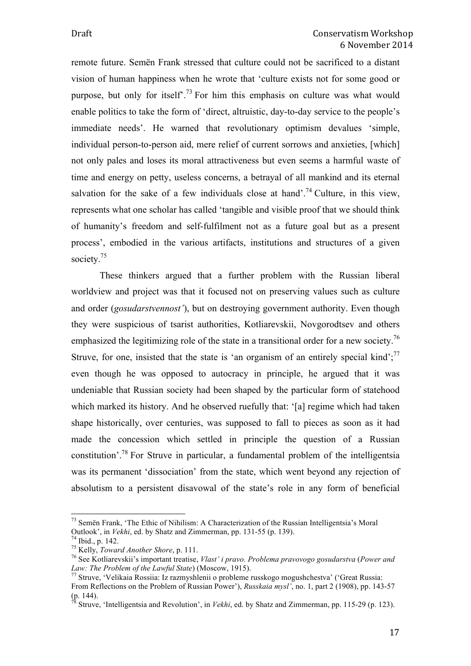remote future. Semën Frank stressed that culture could not be sacrificed to a distant vision of human happiness when he wrote that 'culture exists not for some good or purpose, but only for itself<sup> $73$ </sup> For him this emphasis on culture was what would enable politics to take the form of 'direct, altruistic, day-to-day service to the people's immediate needs'. He warned that revolutionary optimism devalues 'simple, individual person-to-person aid, mere relief of current sorrows and anxieties, [which] not only pales and loses its moral attractiveness but even seems a harmful waste of time and energy on petty, useless concerns, a betrayal of all mankind and its eternal salvation for the sake of a few individuals close at hand'.<sup>74</sup> Culture, in this view, represents what one scholar has called 'tangible and visible proof that we should think of humanity's freedom and self-fulfilment not as a future goal but as a present process', embodied in the various artifacts, institutions and structures of a given society.<sup>75</sup>

These thinkers argued that a further problem with the Russian liberal worldview and project was that it focused not on preserving values such as culture and order (*gosudarstvennost'*), but on destroying government authority. Even though they were suspicious of tsarist authorities, Kotliarevskii, Novgorodtsev and others emphasized the legitimizing role of the state in a transitional order for a new society.<sup>76</sup> Struve, for one, insisted that the state is 'an organism of an entirely special kind'; $^{77}$ even though he was opposed to autocracy in principle, he argued that it was undeniable that Russian society had been shaped by the particular form of statehood which marked its history. And he observed ruefully that: '[a] regime which had taken shape historically, over centuries, was supposed to fall to pieces as soon as it had made the concession which settled in principle the question of a Russian constitution'.78 For Struve in particular, a fundamental problem of the intelligentsia was its permanent 'dissociation' from the state, which went beyond any rejection of absolutism to a persistent disavowal of the state's role in any form of beneficial

<sup>&</sup>lt;sup>73</sup> Semën Frank, 'The Ethic of Nihilism: A Characterization of the Russian Intelligentsia's Moral Outlook', in *Vekhi*, ed. by Shatz and Zimmerman, pp. 131-55 (p. 139).

<sup>&</sup>lt;sup>74</sup> Ibid., p. 142.<br><sup>75</sup> Kelly, *Toward Another Shore*, p. 111.<br><sup>76</sup> See Kotliarevskii's important treatise, *Vlast' i pravo. Problema pravovogo gosudarstva* (*Power and Law: The Problem of the Lawful State*) (Moscow, 1915). 77 Struve, 'Velikaia Rossiia: Iz razmyshlenii o probleme russkogo mogushchestva' ('Great Russia:

From Reflections on the Problem of Russian Power'), *Russkaia mysl'*, no. 1, part 2 (1908), pp. 143-57  $(p. 144)$ .

<sup>78</sup> Struve, 'Intelligentsia and Revolution', in *Vekhi*, ed. by Shatz and Zimmerman, pp. 115-29 (p. 123).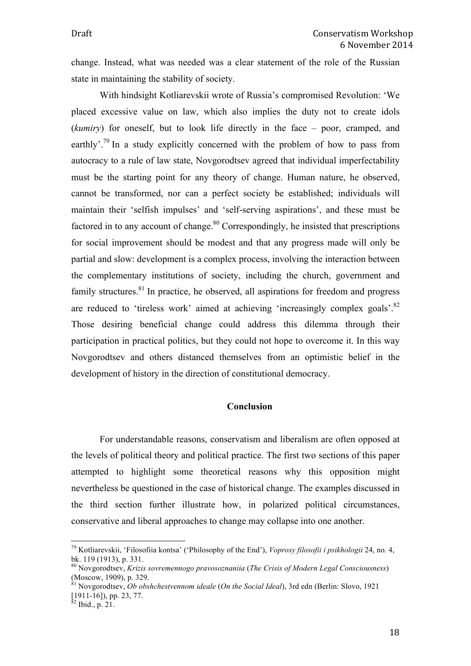change. Instead, what was needed was a clear statement of the role of the Russian state in maintaining the stability of society.

With hindsight Kotliarevskii wrote of Russia's compromised Revolution: 'We placed excessive value on law, which also implies the duty not to create idols (*kumiry*) for oneself, but to look life directly in the face – poor, cramped, and earthly'.<sup>79</sup> In a study explicitly concerned with the problem of how to pass from autocracy to a rule of law state, Novgorodtsev agreed that individual imperfectability must be the starting point for any theory of change. Human nature, he observed, cannot be transformed, nor can a perfect society be established; individuals will maintain their 'selfish impulses' and 'self-serving aspirations', and these must be factored in to any account of change.<sup>80</sup> Correspondingly, he insisted that prescriptions for social improvement should be modest and that any progress made will only be partial and slow: development is a complex process, involving the interaction between the complementary institutions of society, including the church, government and family structures.<sup>81</sup> In practice, he observed, all aspirations for freedom and progress are reduced to 'tireless work' aimed at achieving 'increasingly complex goals'. $82$ Those desiring beneficial change could address this dilemma through their participation in practical politics, but they could not hope to overcome it. In this way Novgorodtsev and others distanced themselves from an optimistic belief in the development of history in the direction of constitutional democracy.

#### **Conclusion**

For understandable reasons, conservatism and liberalism are often opposed at the levels of political theory and political practice. The first two sections of this paper attempted to highlight some theoretical reasons why this opposition might nevertheless be questioned in the case of historical change. The examples discussed in the third section further illustrate how, in polarized political circumstances, conservative and liberal approaches to change may collapse into one another.

 <sup>79</sup> Kotliarevskii, 'Filosofiia kontsa' ('Philosophy of the End'), *Voprosy filosofii i psikhologii* 24, no. 4, bk. 119 (1913), p. 331.

<sup>80</sup> Novgorodtsev, *Krizis sovremennogo pravosoznaniia* (*The Crisis of Modern Legal Consciousness*)  $(Moseow, 1909)$ , p. 329.

<sup>81</sup> Novgorodtsev, *Ob obshchestvennom ideale* (*On the Social Ideal*), 3rd edn (Berlin: Slovo, 1921  $[1911-16]$ ), pp. 23, 77.<br><sup>82</sup> Ibid., p. 21.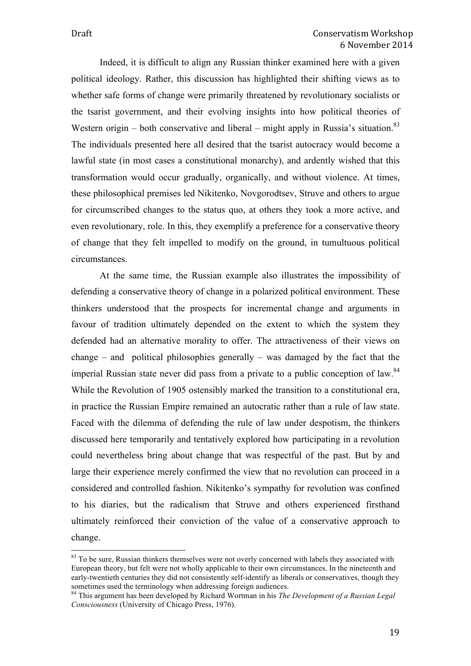Indeed, it is difficult to align any Russian thinker examined here with a given political ideology. Rather, this discussion has highlighted their shifting views as to whether safe forms of change were primarily threatened by revolutionary socialists or the tsarist government, and their evolving insights into how political theories of Western origin – both conservative and liberal – might apply in Russia's situation.<sup>83</sup> The individuals presented here all desired that the tsarist autocracy would become a lawful state (in most cases a constitutional monarchy), and ardently wished that this transformation would occur gradually, organically, and without violence. At times, these philosophical premises led Nikitenko, Novgorodtsev, Struve and others to argue for circumscribed changes to the status quo, at others they took a more active, and even revolutionary, role. In this, they exemplify a preference for a conservative theory of change that they felt impelled to modify on the ground, in tumultuous political circumstances.

At the same time, the Russian example also illustrates the impossibility of defending a conservative theory of change in a polarized political environment. These thinkers understood that the prospects for incremental change and arguments in favour of tradition ultimately depended on the extent to which the system they defended had an alternative morality to offer. The attractiveness of their views on change – and political philosophies generally – was damaged by the fact that the imperial Russian state never did pass from a private to a public conception of law.<sup>84</sup> While the Revolution of 1905 ostensibly marked the transition to a constitutional era, in practice the Russian Empire remained an autocratic rather than a rule of law state. Faced with the dilemma of defending the rule of law under despotism, the thinkers discussed here temporarily and tentatively explored how participating in a revolution could nevertheless bring about change that was respectful of the past. But by and large their experience merely confirmed the view that no revolution can proceed in a considered and controlled fashion. Nikitenko's sympathy for revolution was confined to his diaries, but the radicalism that Struve and others experienced firsthand ultimately reinforced their conviction of the value of a conservative approach to change.

<sup>&</sup>lt;sup>83</sup> To be sure, Russian thinkers themselves were not overly concerned with labels they associated with European theory, but felt were not wholly applicable to their own circumstances. In the nineteenth and early-twentieth centuries they did not consistently self-identify as liberals or conservatives, though they sometimes used the terminology when addressing foreign audiences.

<sup>84</sup> This argument has been developed by Richard Wortman in his *The Development of a Russian Legal Consciousness* (University of Chicago Press, 1976).